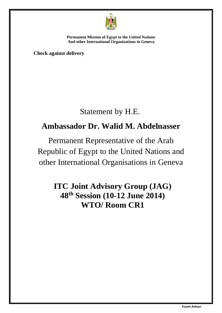

**Check against delivery**

# Statement by H.E.

# **Ambassador Dr. Walid M. Abdelnasser**

Permanent Representative of the Arab Republic of Egypt to the United Nations and other International Organisations in Geneva

## **ITC Joint Advisory Group (JAG) 48th Session (10-12 June 2014) WTO/ Room CR1**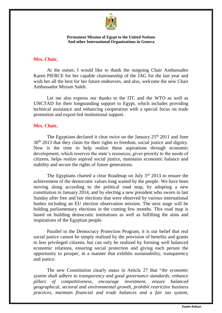

### **Mrs. Chair,**

At the outset, I would like to thank the outgoing Chair Ambassador Karen PIERCE for her capable chairmanship of the JAG for the last year and wish her all the best for her future endeavors, and also, welcome the new Chair Ambassador Miriam Saleh.

Let me also express our thanks to the ITC and the WTO as well as UNCTAD for their longstanding support to Egypt, which includes providing technical assistance and enhancing cooperation with a special focus on trade promotion and export-led institutional support.

## **Mrs. Chair,**

The Egyptians declared it clear twice on the January  $25<sup>th</sup> 2011$  and June 30<sup>th</sup> 2013 that they claim for their rights to freedom, social justice and dignity. Now is the time to help realize these aspirations through economic development, which reserves the state's resources, gives priority to the needs of citizens, helps realize aspired social justice, maintains economic balance and stability and secure the rights of future generations.

The Egyptians charted a clear Roadmap on July 3rd 2013 to ensure the achievement of the democratic values long waited by the people. We have been moving along according to the political road map, by adopting a new constitution in January 2014, and by electing a new president who sworn in last Sunday after free and fair elections that were observed by various international bodies including an EU election observation mission. The next stage will be holding parliamentary elections in the coming few months. This road map is based on building democratic institutions as well as fulfilling the aims and inspirations of the Egyptian people.

Parallel to the Democracy Protection Program, it is our belief that real social justice cannot be simply realized by the provision of benefits and grants to less privileged citizens, but can only be realized by forming well balanced economic relations, ensuring social protection and giving each person the opportunity to prosper, in a manner that exhibits sustainability, transparency and justice.

The new Constitution clearly states in Article 27 that "*the economic system shall adhere to transparency and good governance standards; enhance pillars of competitiveness, encourage investment, ensure balanced geographical, sectoral and environmental growth, prohibit restrictive business practices, maintain financial and trade balances and a fair tax system,*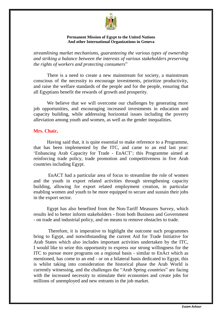

*streamlining market mechanisms, guaranteeing the various types of ownership and striking a balance between the interests of various stakeholders preserving the rights of workers and protecting consumers*"

There is a need to create a new mainstream for society, a mainstream conscious of the necessity to encourage investments, prioritize productivity, and raise the welfare standards of the people and for the people, ensuring that all Egyptians benefit the rewards of growth and prosperity.

We believe that we will overcome our challenges by generating more job opportunities, and encouraging increased investments in education and capacity building, while addressing horizontal issues including the poverty alleviation among youth and women, as well as the gender inequalities.

### **Mrs. Chair,**

Having said that, it is quite essential to make reference to a Programme, that has been implemented by the ITC, and came to an end last year: 'Enhancing Arab Capacity for Trade - EnACT'; this Programme aimed at reinforcing trade policy, trade promotion and competitiveness in five Arab countries including Egypt.

EnACT had a particular area of focus to streamline the role of women and the youth in export related activities through strengthening capacity building, allowing for export related employment creation, in particular enabling women and youth to be more equipped to secure and sustain their jobs in the export sector.

Egypt has also benefited from the Non-Tariff Measures Survey, which results led to better inform stakeholders - from both Business and Government - on trade and industrial policy, and on means to remove obstacles to trade.

Therefore, it is imperative to highlight the outcome such programmes bring to Egypt, and notwithstanding the current Aid for Trade Initiative for Arab States which also includes important activities undertaken by the ITC, I would like to seize this opportunity to express our strong willingness for the ITC to pursue more programs on a regional basis - similar to EnAct which as mentioned, has come to an end - or on a bilateral basis dedicated to Egypt, this is whilst taking into consideration the historical phase the Arab World is currently witnessing, and the challenges the "Arab Spring countries" are facing with the increased necessity to stimulate their economies and create jobs for millions of unemployed and new entrants in the job market.